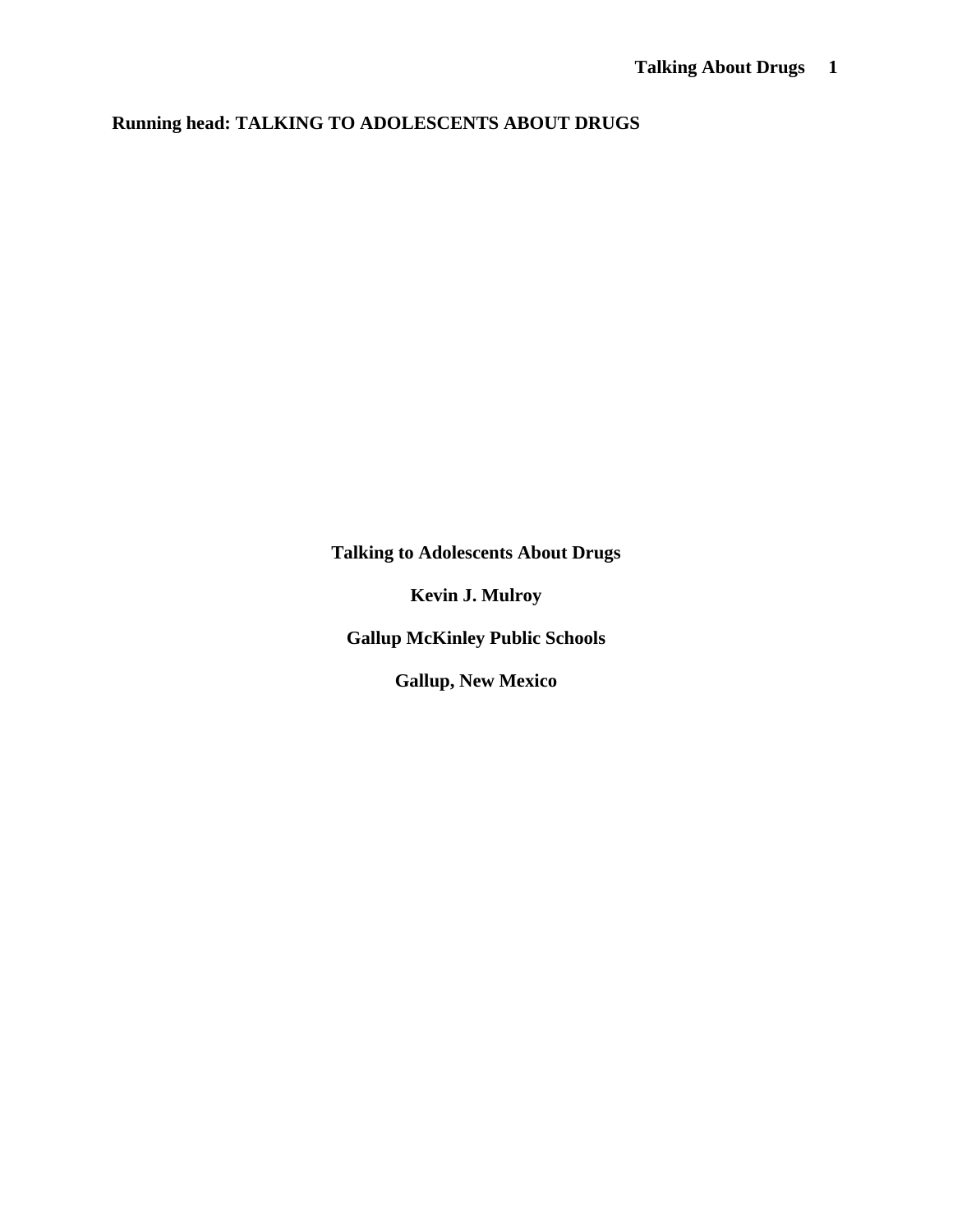**Running head: TALKING TO ADOLESCENTS ABOUT DRUGS** 

**Talking to Adolescents About Drugs** 

**Kevin J. Mulroy** 

**Gallup McKinley Public Schools** 

**Gallup, New Mexico**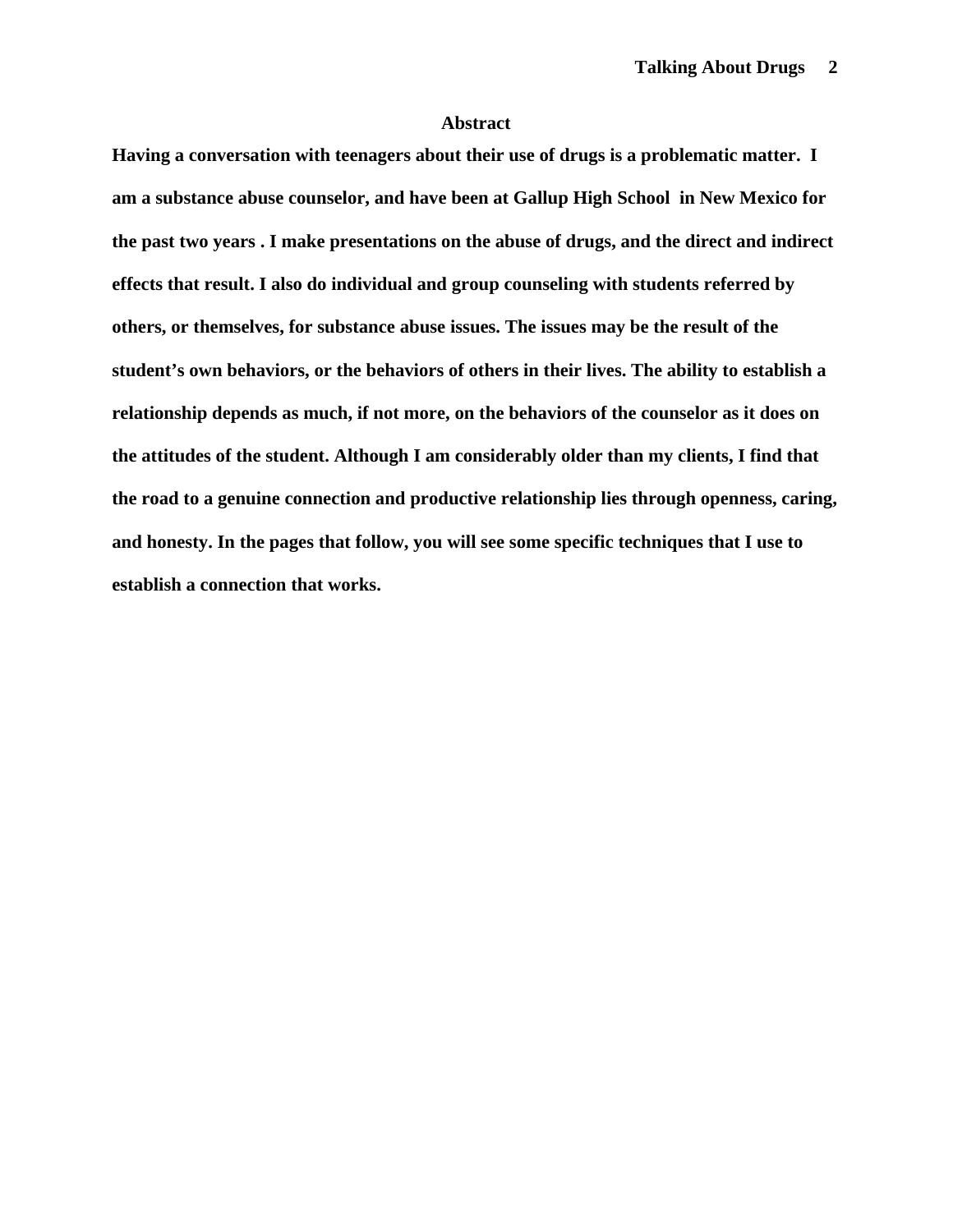## **Abstract**

**Having a conversation with teenagers about their use of drugs is a problematic matter. I am a substance abuse counselor, and have been at Gallup High School in New Mexico for the past two years . I make presentations on the abuse of drugs, and the direct and indirect effects that result. I also do individual and group counseling with students referred by others, or themselves, for substance abuse issues. The issues may be the result of the student's own behaviors, or the behaviors of others in their lives. The ability to establish a relationship depends as much, if not more, on the behaviors of the counselor as it does on the attitudes of the student. Although I am considerably older than my clients, I find that the road to a genuine connection and productive relationship lies through openness, caring, and honesty. In the pages that follow, you will see some specific techniques that I use to establish a connection that works.**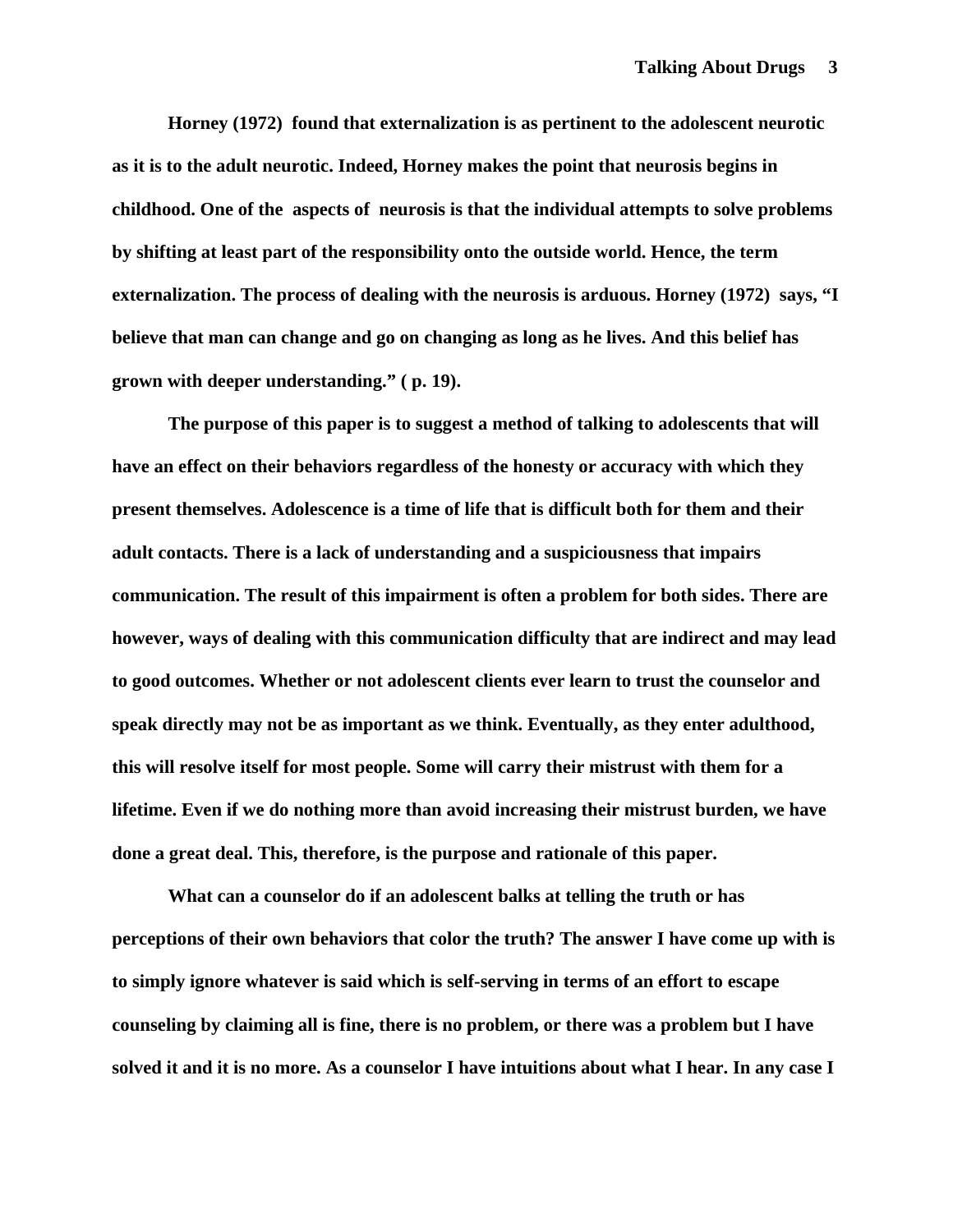**Horney (1972) found that externalization is as pertinent to the adolescent neurotic as it is to the adult neurotic. Indeed, Horney makes the point that neurosis begins in childhood. One of the aspects of neurosis is that the individual attempts to solve problems by shifting at least part of the responsibility onto the outside world. Hence, the term externalization. The process of dealing with the neurosis is arduous. Horney (1972) says, "I believe that man can change and go on changing as long as he lives. And this belief has grown with deeper understanding." ( p. 19).** 

**The purpose of this paper is to suggest a method of talking to adolescents that will have an effect on their behaviors regardless of the honesty or accuracy with which they present themselves. Adolescence is a time of life that is difficult both for them and their adult contacts. There is a lack of understanding and a suspiciousness that impairs communication. The result of this impairment is often a problem for both sides. There are however, ways of dealing with this communication difficulty that are indirect and may lead to good outcomes. Whether or not adolescent clients ever learn to trust the counselor and speak directly may not be as important as we think. Eventually, as they enter adulthood, this will resolve itself for most people. Some will carry their mistrust with them for a lifetime. Even if we do nothing more than avoid increasing their mistrust burden, we have done a great deal. This, therefore, is the purpose and rationale of this paper.** 

**What can a counselor do if an adolescent balks at telling the truth or has perceptions of their own behaviors that color the truth? The answer I have come up with is to simply ignore whatever is said which is self-serving in terms of an effort to escape counseling by claiming all is fine, there is no problem, or there was a problem but I have solved it and it is no more. As a counselor I have intuitions about what I hear. In any case I**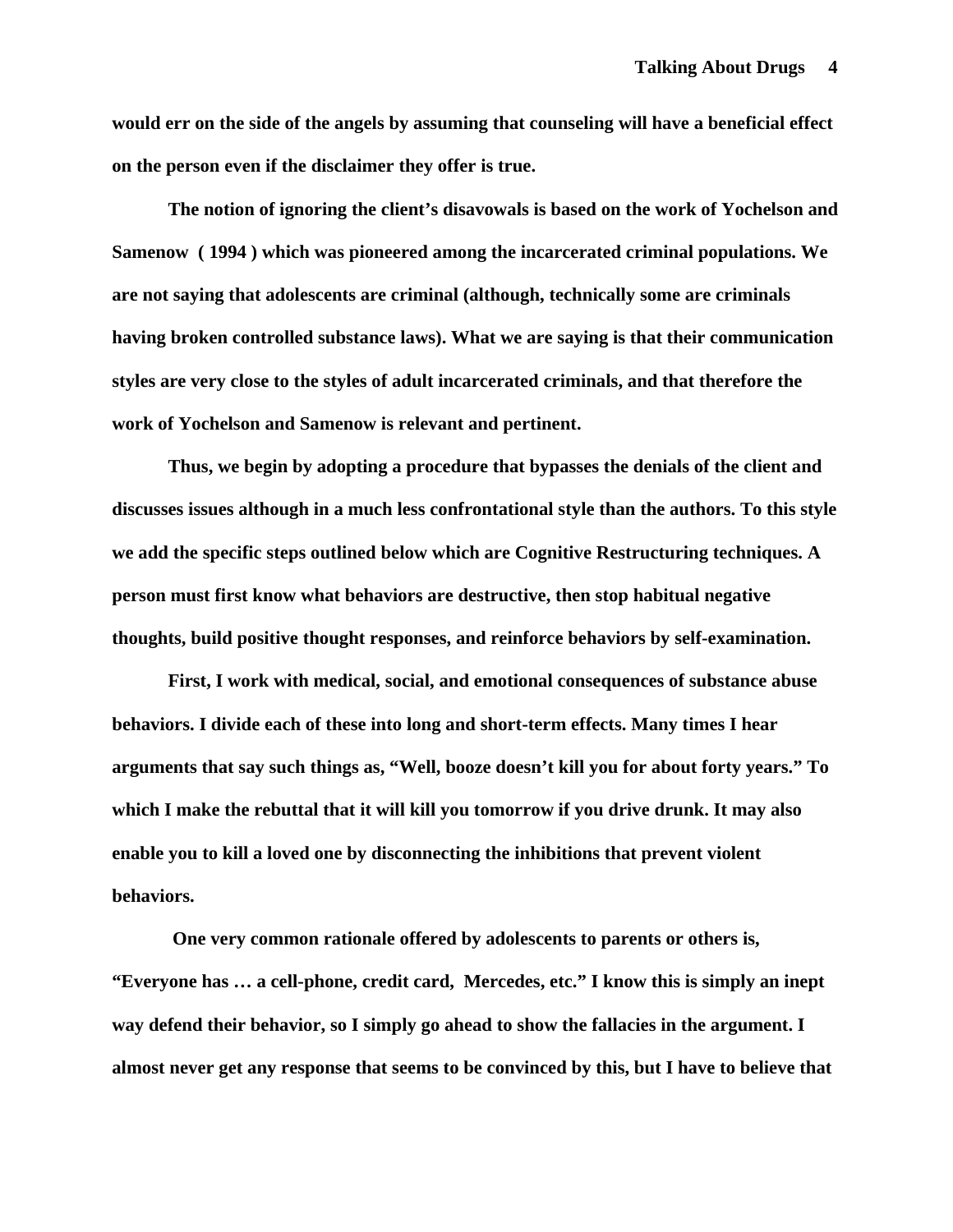**would err on the side of the angels by assuming that counseling will have a beneficial effect on the person even if the disclaimer they offer is true.** 

**The notion of ignoring the client's disavowals is based on the work of Yochelson and Samenow ( 1994 ) which was pioneered among the incarcerated criminal populations. We are not saying that adolescents are criminal (although, technically some are criminals having broken controlled substance laws). What we are saying is that their communication styles are very close to the styles of adult incarcerated criminals, and that therefore the work of Yochelson and Samenow is relevant and pertinent.** 

**Thus, we begin by adopting a procedure that bypasses the denials of the client and discusses issues although in a much less confrontational style than the authors. To this style we add the specific steps outlined below which are Cognitive Restructuring techniques. A person must first know what behaviors are destructive, then stop habitual negative thoughts, build positive thought responses, and reinforce behaviors by self-examination.** 

**First, I work with medical, social, and emotional consequences of substance abuse behaviors. I divide each of these into long and short-term effects. Many times I hear arguments that say such things as, "Well, booze doesn't kill you for about forty years." To which I make the rebuttal that it will kill you tomorrow if you drive drunk. It may also enable you to kill a loved one by disconnecting the inhibitions that prevent violent behaviors.** 

 **One very common rationale offered by adolescents to parents or others is, "Everyone has … a cell-phone, credit card, Mercedes, etc." I know this is simply an inept way defend their behavior, so I simply go ahead to show the fallacies in the argument. I almost never get any response that seems to be convinced by this, but I have to believe that**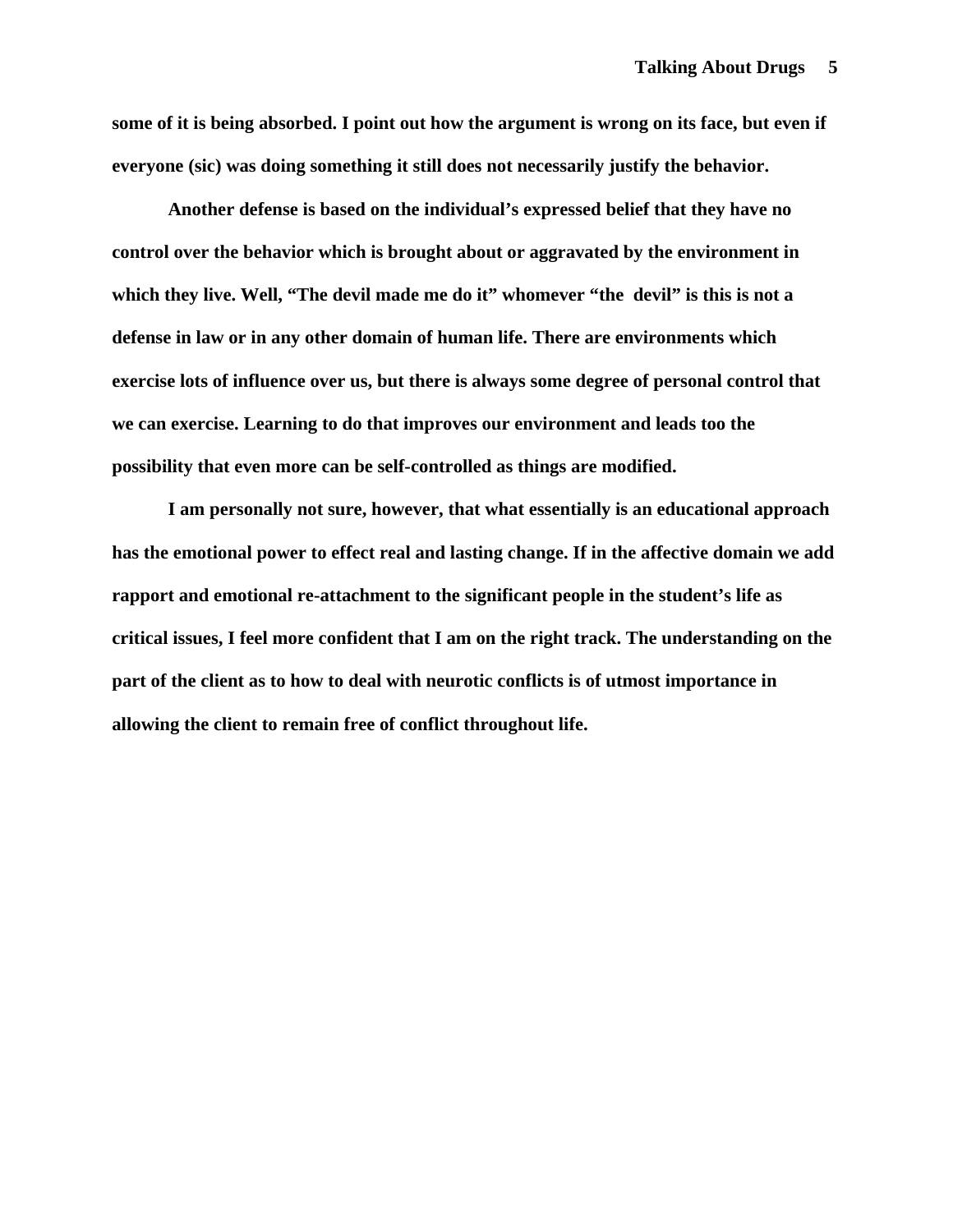**some of it is being absorbed. I point out how the argument is wrong on its face, but even if everyone (sic) was doing something it still does not necessarily justify the behavior.** 

**Another defense is based on the individual's expressed belief that they have no control over the behavior which is brought about or aggravated by the environment in which they live. Well, "The devil made me do it" whomever "the devil" is this is not a defense in law or in any other domain of human life. There are environments which exercise lots of influence over us, but there is always some degree of personal control that we can exercise. Learning to do that improves our environment and leads too the possibility that even more can be self-controlled as things are modified.** 

**I am personally not sure, however, that what essentially is an educational approach has the emotional power to effect real and lasting change. If in the affective domain we add rapport and emotional re-attachment to the significant people in the student's life as critical issues, I feel more confident that I am on the right track. The understanding on the part of the client as to how to deal with neurotic conflicts is of utmost importance in allowing the client to remain free of conflict throughout life.**